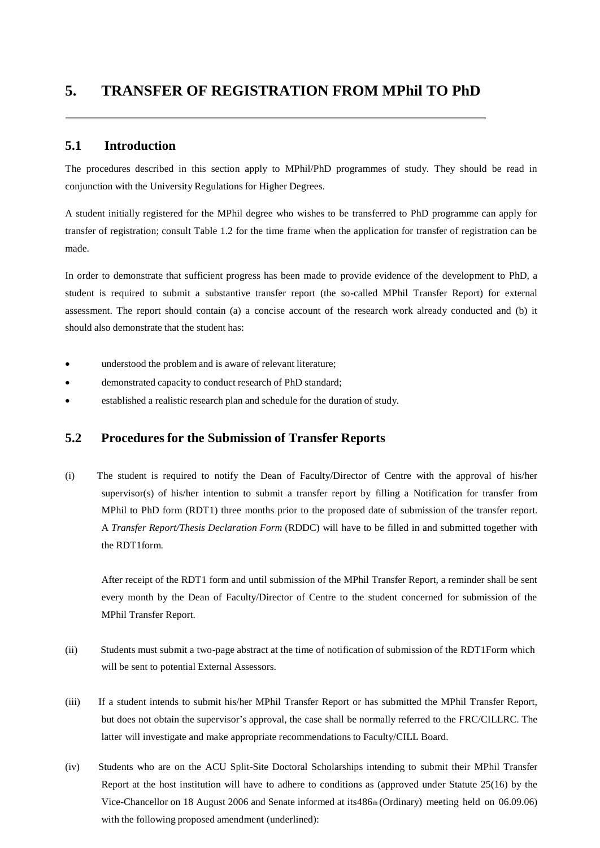#### **5.1 Introduction**

The procedures described in this section apply to MPhil/PhD programmes of study. They should be read in conjunction with the University Regulations for Higher Degrees.

A student initially registered for the MPhil degree who wishes to be transferred to PhD programme can apply for transfer of registration; consult Table 1.2 for the time frame when the application for transfer of registration can be made.

In order to demonstrate that sufficient progress has been made to provide evidence of the development to PhD, a student is required to submit a substantive transfer report (the so-called MPhil Transfer Report) for external assessment. The report should contain (a) a concise account of the research work already conducted and (b) it should also demonstrate that the student has:

- understood the problem and is aware of relevant literature;
- demonstrated capacity to conduct research of PhD standard;
- established a realistic research plan and schedule for the duration of study.

### **5.2 Procedures for the Submission of Transfer Reports**

(i) The student is required to notify the Dean of Faculty/Director of Centre with the approval of his/her supervisor(s) of his/her intention to submit a transfer report by filling a Notification for transfer from MPhil to PhD form (RDT1) three months prior to the proposed date of submission of the transfer report. A *Transfer Report/Thesis Declaration Form* (RDDC) will have to be filled in and submitted together with the RDT1form.

After receipt of the RDT1 form and until submission of the MPhil Transfer Report, a reminder shall be sent every month by the Dean of Faculty/Director of Centre to the student concerned for submission of the MPhil Transfer Report.

- (ii) Students must submit a two-page abstract at the time of notification of submission of the RDT1Form which will be sent to potential External Assessors.
- (iii) If a student intends to submit his/her MPhil Transfer Report or has submitted the MPhil Transfer Report, but does not obtain the supervisor's approval, the case shall be normally referred to the FRC/CILLRC. The latter will investigate and make appropriate recommendations to Faculty/CILL Board.
- (iv) Students who are on the ACU Split-Site Doctoral Scholarships intending to submit their MPhil Transfer Report at the host institution will have to adhere to conditions as (approved under Statute 25(16) by the Vice-Chancellor on 18 August 2006 and Senate informed at its486th (Ordinary) meeting held on 06.09.06) with the following proposed amendment (underlined):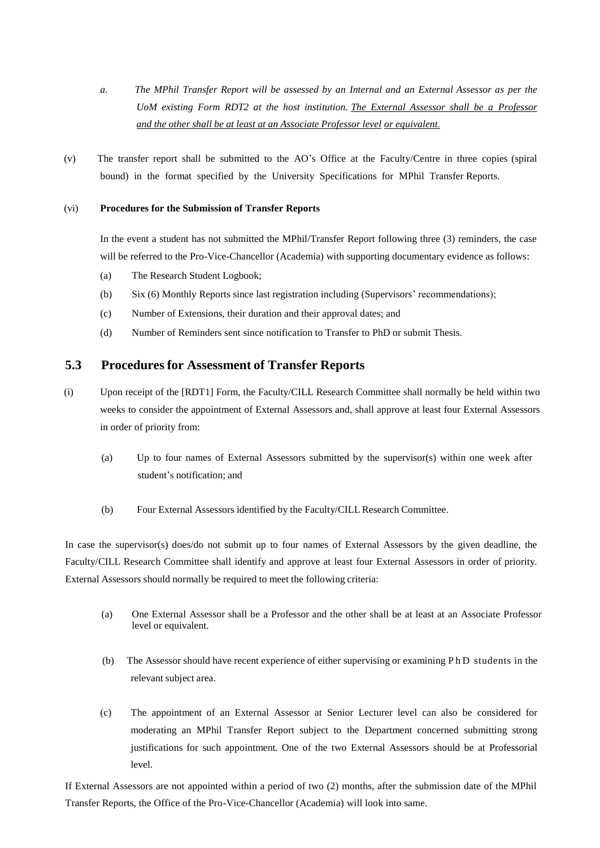- *a. The MPhil Transfer Report will be assessed by an Internal and an External Assessor as per the UoM existing Form RDT2 at the host institution. The External Assessor shall be a Professor and the other shall be at least at an Associate Professor level or equivalent.*
- (v) The transfer report shall be submitted to the AO's Office at the Faculty/Centre in three copies (spiral bound) in the format specified by the University Specifications for MPhil Transfer Reports.

#### (vi) **Procedures for the Submission of Transfer Reports**

In the event a student has not submitted the MPhil/Transfer Report following three (3) reminders, the case will be referred to the Pro-Vice-Chancellor (Academia) with supporting documentary evidence as follows:

- (a) The Research Student Logbook;
- (b) Six (6) Monthly Reports since last registration including (Supervisors' recommendations);
- (c) Number of Extensions, their duration and their approval dates; and
- (d) Number of Reminders sent since notification to Transfer to PhD or submit Thesis.

### **5.3 Procedures for Assessment of Transfer Reports**

- (i) Upon receipt of the [RDT1] Form, the Faculty/CILL Research Committee shall normally be held within two weeks to consider the appointment of External Assessors and, shall approve at least four External Assessors in order of priority from:
	- (a) Up to four names of External Assessors submitted by the supervisor(s) within one week after student's notification; and
	- (b) Four External Assessors identified by the Faculty/CILL Research Committee.

In case the supervisor(s) does/do not submit up to four names of External Assessors by the given deadline, the Faculty/CILL Research Committee shall identify and approve at least four External Assessors in order of priority. External Assessors should normally be required to meet the following criteria:

- (a) One External Assessor shall be a Professor and the other shall be at least at an Associate Professor level or equivalent.
- (b) The Assessor should have recent experience of either supervising or examining P h D students in the relevant subject area.
- (c) The appointment of an External Assessor at Senior Lecturer level can also be considered for moderating an MPhil Transfer Report subject to the Department concerned submitting strong justifications for such appointment. One of the two External Assessors should be at Professorial  $l$ evel.

If External Assessors are not appointed within a period of two (2) months, after the submission date of the MPhil Transfer Reports, the Office of the Pro-Vice-Chancellor (Academia) will look into same.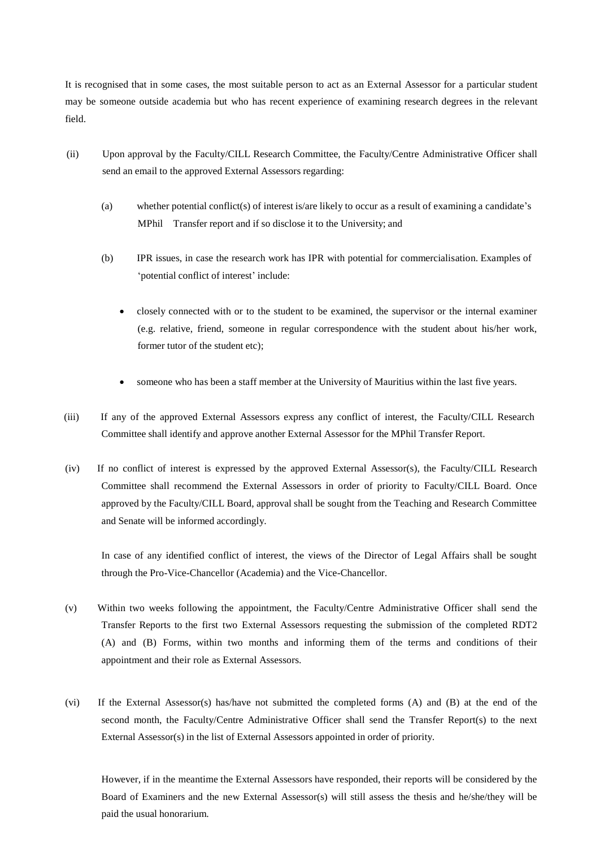It is recognised that in some cases, the most suitable person to act as an External Assessor for a particular student may be someone outside academia but who has recent experience of examining research degrees in the relevant field.

- (ii) Upon approval by the Faculty/CILL Research Committee, the Faculty/Centre Administrative Officer shall send an email to the approved External Assessors regarding:
	- (a) whether potential conflict(s) of interest is/are likely to occur as a result of examining a candidate's MPhil Transfer report and if so disclose it to the University; and
	- (b) IPR issues, in case the research work has IPR with potential for commercialisation. Examples of 'potential conflict of interest' include:
		- closely connected with or to the student to be examined, the supervisor or the internal examiner (e.g. relative, friend, someone in regular correspondence with the student about his/her work, former tutor of the student etc);
		- someone who has been a staff member at the University of Mauritius within the last five years.
- (iii) If any of the approved External Assessors express any conflict of interest, the Faculty/CILL Research Committee shall identify and approve another External Assessor for the MPhil Transfer Report.
- (iv) If no conflict of interest is expressed by the approved External Assessor(s), the Faculty/CILL Research Committee shall recommend the External Assessors in order of priority to Faculty/CILL Board. Once approved by the Faculty/CILL Board, approval shall be sought from the Teaching and Research Committee and Senate will be informed accordingly.

In case of any identified conflict of interest, the views of the Director of Legal Affairs shall be sought through the Pro-Vice-Chancellor (Academia) and the Vice-Chancellor.

- (v) Within two weeks following the appointment, the Faculty/Centre Administrative Officer shall send the Transfer Reports to the first two External Assessors requesting the submission of the completed RDT2 (A) and (B) Forms, within two months and informing them of the terms and conditions of their appointment and their role as External Assessors.
- (vi) If the External Assessor(s) has/have not submitted the completed forms (A) and (B) at the end of the second month, the Faculty/Centre Administrative Officer shall send the Transfer Report(s) to the next External Assessor(s) in the list of External Assessors appointed in order of priority.

However, if in the meantime the External Assessors have responded, their reports will be considered by the Board of Examiners and the new External Assessor(s) will still assess the thesis and he/she/they will be paid the usual honorarium.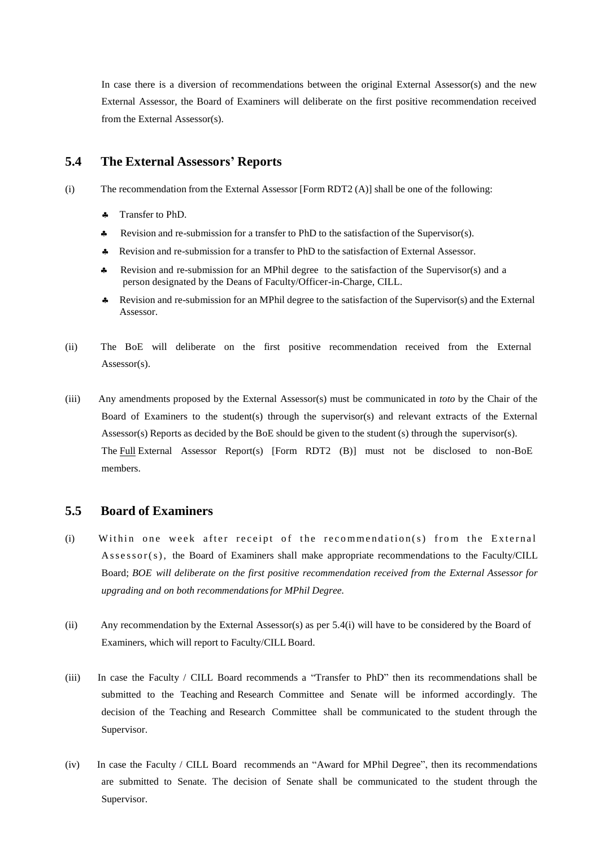In case there is a diversion of recommendations between the original External Assessor(s) and the new External Assessor, the Board of Examiners will deliberate on the first positive recommendation received from the External Assessor(s).

## **5.4 The External Assessors' Reports**

(i) The recommendation from the External Assessor [Form RDT2 (A)] shall be one of the following:

- Transfer to PhD.
- Revision and re-submission for a transfer to PhD to the satisfaction of the Supervisor(s).
- Revision and re-submission for a transfer to PhD to the satisfaction of External Assessor.
- Revision and re-submission for an MPhil degree to the satisfaction of the Supervisor(s) and a person designated by the Deans of Faculty/Officer-in-Charge, CILL.
- Revision and re-submission for an MPhil degree to the satisfaction of the Supervisor(s) and the External Assessor.
- (ii) The BoE will deliberate on the first positive recommendation received from the External Assessor(s).
- (iii) Any amendments proposed by the External Assessor(s) must be communicated in *toto* by the Chair of the Board of Examiners to the student(s) through the supervisor(s) and relevant extracts of the External Assessor(s) Reports as decided by the BoE should be given to the student (s) through the supervisor(s). The Full External Assessor Report(s) [Form RDT2 (B)] must not be disclosed to non-BoE members.

#### **5.5 Board of Examiners**

- (i) Within one week after receipt of the recommendation(s) from the External Assessor(s), the Board of Examiners shall make appropriate recommendations to the Faculty/CILL Board; *BOE will deliberate on the first positive recommendation received from the External Assessor for upgrading and on both recommendationsfor MPhil Degree.*
- (ii) Any recommendation by the External Assessor(s) as per 5.4(i) will have to be considered by the Board of Examiners, which will report to Faculty/CILL Board.
- (iii) In case the Faculty / CILL Board recommends a "Transfer to PhD" then its recommendations shall be submitted to the Teaching and Research Committee and Senate will be informed accordingly. The decision of the Teaching and Research Committee shall be communicated to the student through the Supervisor.
- (iv) In case the Faculty / CILL Board recommends an "Award for MPhil Degree", then its recommendations are submitted to Senate. The decision of Senate shall be communicated to the student through the Supervisor.